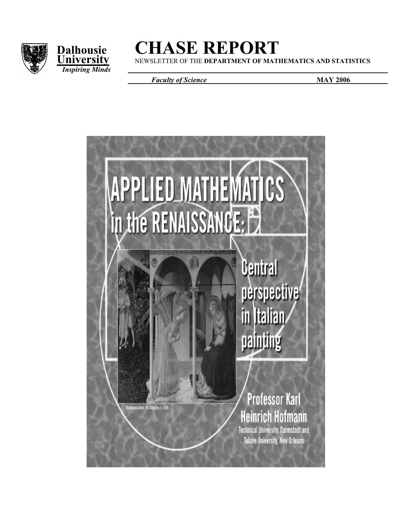



# **Dalhousie CHASE REPORT**<br>University NEWSLETTER OF THE DEPARTMENT OF MATHEMATICS AND STATISTICS

**University** NEWSLETTER OF THE DEPARTMENT OF MATHEMATICS AND STATISTICS

*Faculty of Science MAY 2006* 

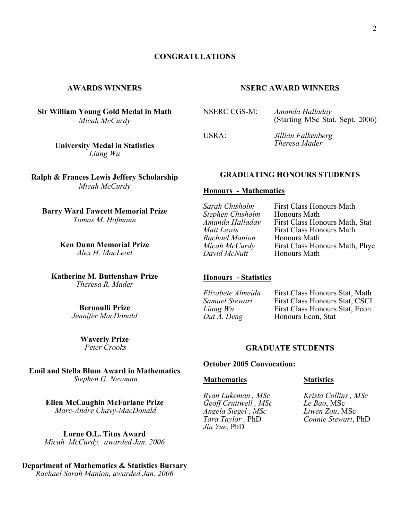#### **CONGRATULATIONS**

#### **AWARDS WINNERS**

**Sir William Young Gold Medal in Math**  *Micah McCurdy* 

**NSERC AWARD WINNERS** 

NSERC CGS-M: *Amanda Halladay* (Starting MSc Stat. Sept. 2006)

USRA: *Jillian Falkenberg Theresa Mader*

#### **GRADUATING HONOURS STUDENTS**

#### **Honours - Mathematics**

*Sarah Chisholm* First Class Honours Math *Stephen Chisholm*<br>Amanda Halladay *Amanda Halladay* First Class Honours Math, Stat **First Class Honours Math Honours Math** *Rachael Manion*<br>*Micah McCurdy Micah McCurdy* First Class Honours Math, Phyc<br>*David McNutt* Honours Math **Honours Math** 

#### **Honours - Statistics**

*Elizabete Almeida* First Class Honours Stat, Math **First Class Honours Stat, CSCI** *Liang Wu* First Class Honours Stat, Econ *Dut A. Deng* Honours Econ, Stat **Honours Econ, Stat** 

#### **GRADUATE STUDENTS**

#### **October 2005 Convocation:**

#### **Mathematics Statistics**

*Angela Siegel, MSc*<br>*Tara Taylor, PhD Jin Yue*, PhD

*Ryan Lukeman , MSc Krista Collins , MSc**Geoff Cruttwell , MSc Le Bao*, MSc *Tara Taylor ,* PhD *Connie Stewart*, PhD

#### **University Medal in Statistics**  *Liang Wu*

**Ralph & Frances Lewis Jeffery Scholarship**  *Micah McCurdy* 

**Barry Ward Fawcett Memorial Prize**  *Tomas M. Hofmann* 

> **Ken Dunn Memorial Prize**  *Alex H. MacLeod*

**Katherine M. Buttenshaw Prize**  *Theresa R. Mader* 

> **Bernoulli Prize**  *Jennifer MacDonald*

> > **Waverly Prize**   *Peter Crooks*

**Emil and Stella Blum Award in Mathematics**  *Stephen G. Newman* 

> **Ellen McCaughin McFarlane Prize**  *Marc-Andre Chavy-MacDonald*

**Lorne O.L. Titus Award** *Micah McCurdy, awarded Jan. 2006* 

#### **Department of Mathematics & Statistics Bursary**

*Rachael Sarah Manion, awarded Jan. 2006*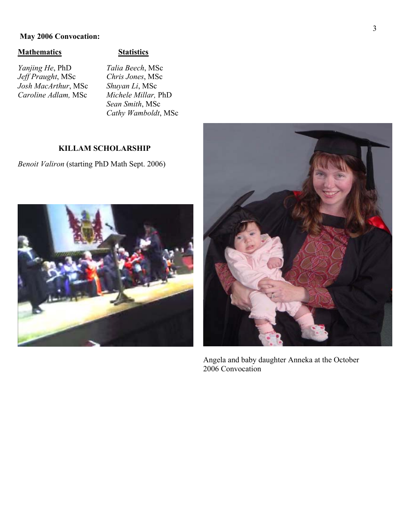#### **May 2006 Convocation:**

#### **Mathematics Statistics**

*Yanjing He*, PhD *Talia Beech*, MSc *Jeff Praught*, MSc *Chris Jones*, MSc *Josh MacArthur*, MSc *Shuyan Li*, MSc  $Caroline$  Adlam, MSc

*Sean Smith*, MSc  *Cathy Wamboldt*, MSc

#### **KILLAM SCHOLARSHIP**

*Benoit Valiron* (starting PhD Math Sept. 2006)





Angela and baby daughter Anneka at the October 2006 Convocation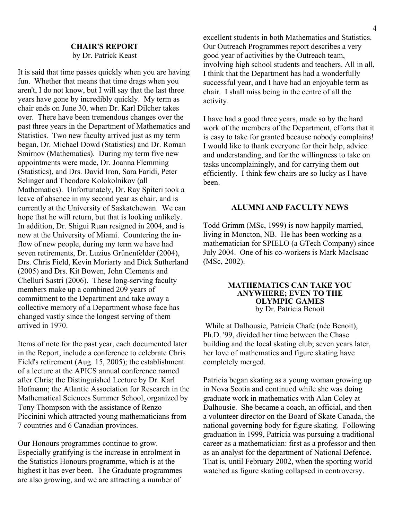#### **CHAIR'S REPORT**  by Dr. Patrick Keast

It is said that time passes quickly when you are having fun. Whether that means that time drags when you aren't, I do not know, but I will say that the last three years have gone by incredibly quickly. My term as chair ends on June 30, when Dr. Karl Dilcher takes over. There have been tremendous changes over the past three years in the Department of Mathematics and Statistics. Two new faculty arrived just as my term began, Dr. Michael Dowd (Statistics) and Dr. Roman Smirnov (Mathematics). During my term five new appointments were made, Dr. Joanna Flemming (Statistics), and Drs. David Iron, Sara Faridi, Peter Selinger and Theodore Kolokolnikov (all Mathematics). Unfortunately, Dr. Ray Spiteri took a leave of absence in my second year as chair, and is currently at the University of Saskatchewan. We can hope that he will return, but that is looking unlikely. In addition, Dr. Shigui Ruan resigned in 2004, and is now at the University of Miami. Countering the inflow of new people, during my term we have had seven retirements, Dr. Luzius Grünenfelder (2004), Drs. Chris Field, Kevin Moriarty and Dick Sutherland (2005) and Drs. Kit Bowen, John Clements and Chelluri Sastri (2006). These long-serving faculty members make up a combined 209 years of commitment to the Department and take away a collective memory of a Department whose face has changed vastly since the longest serving of them arrived in 1970.

Items of note for the past year, each documented later in the Report, include a conference to celebrate Chris Field's retirement (Aug. 15, 2005); the establishment of a lecture at the APICS annual conference named after Chris; the Distinguished Lecture by Dr. Karl Hofmann; the Atlantic Association for Research in the Mathematical Sciences Summer School, organized by Tony Thompson with the assistance of Renzo Piccinini which attracted young mathematicians from 7 countries and 6 Canadian provinces.

Our Honours programmes continue to grow. Especially gratifying is the increase in enrolment in the Statistics Honours programme, which is at the highest it has ever been. The Graduate programmes are also growing, and we are attracting a number of

excellent students in both Mathematics and Statistics. Our Outreach Programmes report describes a very good year of activities by the Outreach team, involving high school students and teachers. All in all, I think that the Department has had a wonderfully successful year, and I have had an enjoyable term as chair. I shall miss being in the centre of all the activity.

I have had a good three years, made so by the hard work of the members of the Department, efforts that it is easy to take for granted because nobody complains! I would like to thank everyone for their help, advice and understanding, and for the willingness to take on tasks uncomplainingly, and for carrying them out efficiently. I think few chairs are so lucky as I have been.

#### **ALUMNI AND FACULTY NEWS**

Todd Grimm (MSc, 1999) is now happily married, living in Moncton, NB. He has been working as a mathematician for SPIELO (a GTech Company) since July 2004. One of his co-workers is Mark MacIsaac (MSc, 2002).

#### **MATHEMATICS CAN TAKE YOU ANYWHERE; EVEN TO THE OLYMPIC GAMES**  by Dr. Patricia Benoit

 While at Dalhousie, Patricia Chafe (née Benoit), Ph.D. '99, divided her time between the Chase building and the local skating club; seven years later, her love of mathematics and figure skating have completely merged.

Patricia began skating as a young woman growing up in Nova Scotia and continued while she was doing graduate work in mathematics with Alan Coley at Dalhousie. She became a coach, an official, and then a volunteer director on the Board of Skate Canada, the national governing body for figure skating. Following graduation in 1999, Patricia was pursuing a traditional career as a mathematician: first as a professor and then as an analyst for the department of National Defence. That is, until February 2002, when the sporting world watched as figure skating collapsed in controversy.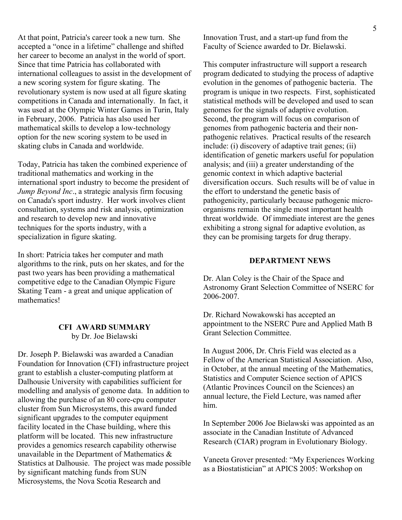At that point, Patricia's career took a new turn. She accepted a "once in a lifetime" challenge and shifted her career to become an analyst in the world of sport. Since that time Patricia has collaborated with international colleagues to assist in the development of a new scoring system for figure skating. The revolutionary system is now used at all figure skating competitions in Canada and internationally. In fact, it was used at the Olympic Winter Games in Turin, Italy in February, 2006. Patricia has also used her mathematical skills to develop a low-technology option for the new scoring system to be used in skating clubs in Canada and worldwide.

Today, Patricia has taken the combined experience of traditional mathematics and working in the international sport industry to become the president of *Jump Beyond Inc*., a strategic analysis firm focusing on Canada's sport industry. Her work involves client consultation, systems and risk analysis, optimization and research to develop new and innovative techniques for the sports industry, with a specialization in figure skating.

In short: Patricia takes her computer and math algorithms to the rink, puts on her skates, and for the past two years has been providing a mathematical competitive edge to the Canadian Olympic Figure Skating Team - a great and unique application of mathematics!

#### **CFI AWARD SUMMARY**  by Dr. Joe Bielawski

Dr. Joseph P. Bielawski was awarded a Canadian Foundation for Innovation (CFI) infrastructure project grant to establish a cluster-computing platform at Dalhousie University with capabilities sufficient for modelling and analysis of genome data. In addition to allowing the purchase of an 80 core-cpu computer cluster from Sun Microsystems, this award funded significant upgrades to the computer equipment facility located in the Chase building, where this platform will be located. This new infrastructure provides a genomics research capability otherwise unavailable in the Department of Mathematics & Statistics at Dalhousie. The project was made possible by significant matching funds from SUN Microsystems, the Nova Scotia Research and

Innovation Trust, and a start-up fund from the Faculty of Science awarded to Dr. Bielawski.

This computer infrastructure will support a research program dedicated to studying the process of adaptive evolution in the genomes of pathogenic bacteria. The program is unique in two respects. First, sophisticated statistical methods will be developed and used to scan genomes for the signals of adaptive evolution. Second, the program will focus on comparison of genomes from pathogenic bacteria and their nonpathogenic relatives. Practical results of the research include: (i) discovery of adaptive trait genes; (ii) identification of genetic markers useful for population analysis; and (iii) a greater understanding of the genomic context in which adaptive bacterial diversification occurs. Such results will be of value in the effort to understand the genetic basis of pathogenicity, particularly because pathogenic microorganisms remain the single most important health threat worldwide. Of immediate interest are the genes exhibiting a strong signal for adaptive evolution, as they can be promising targets for drug therapy.

#### **DEPARTMENT NEWS**

Dr. Alan Coley is the Chair of the Space and Astronomy Grant Selection Committee of NSERC for 2006-2007.

Dr. Richard Nowakowski has accepted an appointment to the NSERC Pure and Applied Math B Grant Selection Committee.

In August 2006, Dr. Chris Field was elected as a Fellow of the American Statistical Association. Also, in October, at the annual meeting of the Mathematics, Statistics and Computer Science section of APICS (Atlantic Provinces Council on the Sciences) an annual lecture, the Field Lecture, was named after him.

In September 2006 Joe Bielawski was appointed as an associate in the Canadian Institute of Advanced Research (CIAR) program in Evolutionary Biology.

Vaneeta Grover presented: "My Experiences Working as a Biostatistician" at APICS 2005: Workshop on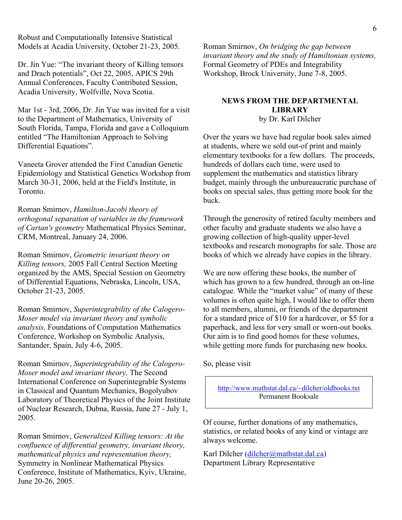Robust and Computationally Intensive Statistical Models at Acadia University, October 21-23, 2005.

Dr. Jin Yue: "The invariant theory of Killing tensors and Drach potentials", Oct 22, 2005, APICS 29th Annual Conferences, Faculty Contributed Session, Acadia University, Wolfville, Nova Scotia.

Mar 1st - 3rd, 2006, Dr. Jin Yue was invited for a visit to the Department of Mathematics, University of South Florida, Tampa, Florida and gave a Colloquium entitled "The Hamiltonian Approach to Solving Differential Equations".

Vaneeta Grover attended the First Canadian Genetic Epidemiology and Statistical Genetics Workshop from March 30-31, 2006, held at the Field's Institute, in Toronto.

Roman Smirnov, *Hamilton-Jacobi theory of orthogonal separation of variables in the framework of Cartan's geometry* Mathematical Physics Seminar, CRM, Montreal, January 24, 2006.

Roman Smirnov, *Geometric invariant theory on Killing tensors,* 2005 Fall Central Section Meeting organized by the AMS, Special Session on Geometry of Differential Equations, Nebraska, Lincoln, USA, October 21-23, 2005.

Roman Smirnov, *Superintegrability of the Calogero-Moser model via invariant theory and symbolic analysis,* Foundations of Computation Mathematics Conference, Workshop on Symbolic Analysis, Santander, Spain, July 4-6, 2005.

Roman Smirnov, *Superintegrability of the Calogero-Moser model and invariant theory,* The Second International Conference on Superintegrable Systems in Classical and Quantum Mechanics, Bogolyubov Laboratory of Theoretical Physics of the Joint Institute of Nuclear Research, Dubna, Russia, June 27 - July 1, 2005.

Roman Smirnov, *Generalized Killing tensors: At the confluence of differential geometry, invariant theory, mathematical physics and representation theory,* Symmetry in Nonlinear Mathematical Physics Conference, Institute of Mathematics, Kyiv, Ukraine, June 20-26, 2005.

Roman Smirnov, *On bridging the gap between invariant theory and the study of Hamiltonian systems,*  Formal Geometry of PDEs and Integrability Workshop, Brock University, June 7-8, 2005.

#### **NEWS FROM THE DEPARTMENTAL LIBRARY**

by Dr. Karl Dilcher

Over the years we have had regular book sales aimed at students, where we sold out-of print and mainly elementary textbooks for a few dollars. The proceeds, hundreds of dollars each time, were used to supplement the mathematics and statistics library budget, mainly through the unbureaucratic purchase of books on special sales, thus getting more book for the buck.

Through the generosity of retired faculty members and other faculty and graduate students we also have a growing collection of high-quality upper-level textbooks and research monographs for sale. Those are books of which we already have copies in the library.

We are now offering these books, the number of which has grown to a few hundred, through an on-line catalogue. While the "market value" of many of these volumes is often quite high, I would like to offer them to all members, alumni, or friends of the department for a standard price of \$10 for a hardcover, or \$5 for a paperback, and less for very small or worn-out books. Our aim is to find good homes for these volumes, while getting more funds for purchasing new books.

So, please visit

http://www.mathstat.dal.ca/~dilcher/oldbooks.txt Permanent Booksale

Of course, further donations of any mathematics, statistics, or related books of any kind or vintage are always welcome.

Karl Dilcher (dilcher@mathstat.dal.ca) Department Library Representative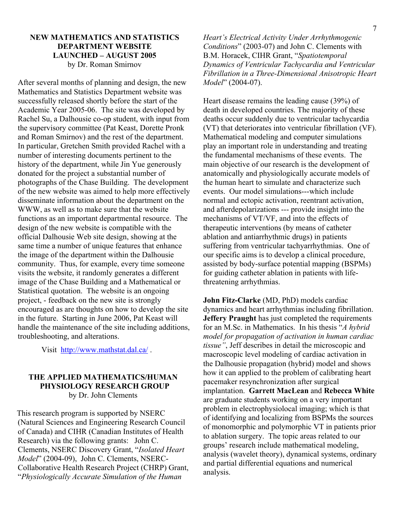#### **NEW MATHEMATICS AND STATISTICS DEPARTMENT WEBSITE LAUNCHED – AUGUST 2005**  by Dr. Roman Smirnov

After several months of planning and design, the new Mathematics and Statistics Department website was successfully released shortly before the start of the Academic Year 2005-06. The site was developed by Rachel Su, a Dalhousie co-op student, with input from the supervisory committee (Pat Keast, Dorette Pronk and Roman Smirnov) and the rest of the department. In particular, Gretchen Smith provided Rachel with a number of interesting documents pertinent to the history of the department, while Jin Yue generously donated for the project a substantial number of photographs of the Chase Building. The development of the new website was aimed to help more effectively disseminate information about the department on the WWW, as well as to make sure that the website functions as an important departmental resource. The design of the new website is compatible with the official Dalhousie Web site design, showing at the same time a number of unique features that enhance the image of the department within the Dalhousie community. Thus, for example, every time someone visits the website, it randomly generates a different image of the Chase Building and a Mathematical or Statistical quotation. The website is an ongoing project, - feedback on the new site is strongly encouraged as are thoughts on how to develop the site in the future. Starting in June 2006, Pat Keast will handle the maintenance of the site including additions, troubleshooting, and alterations.

Visit http://www.mathstat.dal.ca/.

#### **THE APPLIED MATHEMATICS/HUMAN PHYSIOLOGY RESEARCH GROUP**  by Dr. John Clements

 This research program is supported by NSERC (Natural Sciences and Engineering Research Council of Canada) and CIHR (Canadian Institutes of Health Research) via the following grants: John C. Clements, NSERC Discovery Grant, "*Isolated Heart Model*" (2004-09), John C. Clements, NSERC-Collaborative Health Research Project (CHRP) Grant, "*Physiologically Accurate Simulation of the Human* 

*Heart's Electrical Activity Under Arrhythmogenic Conditions*" (2003-07) and John C. Clements with B.M. Horacek, CIHR Grant, "*Spatiotemporal Dynamics of Ventricular Tachycardia and Ventricular Fibrillation in a Three-Dimensional Anisotropic Heart Model*" (2004-07).

Heart disease remains the leading cause (39%) of death in developed countries. The majority of these deaths occur suddenly due to ventricular tachycardia (VT) that deteriorates into ventricular fibrillation (VF). Mathematical modeling and computer simulations play an important role in understanding and treating the fundamental mechanisms of these events. The main objective of our research is the development of anatomically and physiologically accurate models of the human heart to simulate and characterize such events. Our model simulations---which include normal and ectopic activation, reentrant activation, and afterdepolarizations --- provide insight into the mechanisms of VT/VF, and into the effects of therapeutic interventions (by means of catheter ablation and antiarrhythmic drugs) in patients suffering from ventricular tachyarrhythmias. One of our specific aims is to develop a clinical procedure, assisted by body-surface potential mapping (BSPMs) for guiding catheter ablation in patients with lifethreatening arrhythmias.

**John Fitz-Clarke** (MD, PhD) models cardiac dynamics and heart arrhythmias including fibrillation. **Jeffery Praught** has just completed the requirements for an M.Sc. in Mathematics. In his thesis "*A hybrid model for propagation of activation in human cardiac tissue"*, Jeff describes in detail the microscopic and macroscopic level modeling of cardiac activation in the Dalhousie propagation (hybrid) model and shows how it can applied to the problem of calibrating heart pacemaker resynchronization after surgical implantation. **Garrett MacLean** and **Rebecca White** are graduate students working on a very important problem in electrophysiolocal imaging; which is that of identifying and localizing from BSPMs the sources of monomorphic and polymorphic VT in patients prior to ablation surgery. The topic areas related to our groups' research include mathematical modeling, analysis (wavelet theory), dynamical systems, ordinary and partial differential equations and numerical analysis.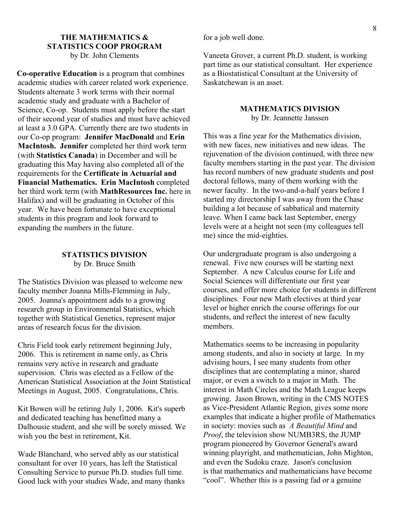#### **THE MATHEMATICS & STATISTICS COOP PROGRAM**  by Dr. John Clements

**Co-operative Education** is a program that combines academic studies with career related work experience. Students alternate 3 work terms with their normal academic study and graduate with a Bachelor of Science, Co-op. Students must apply before the start of their second year of studies and must have achieved at least a 3.0 GPA. Currently there are two students in our Co-op program: **Jennifer MacDonald** and **Erin MacIntosh. Jennifer** completed her third work term (with **Statistics Canada**) in December and will be graduating this May having also completed all of the requirements for the **Certificate in Actuarial and Financial Mathematics. Erin MacIntosh** completed her third work term (with **MathResources Inc.** here in Halifax) and will be graduating in October of this year. We have been fortunate to have exceptional students in this program and look forward to expanding the numbers in the future.

#### **STATISTICS DIVISION**  by Dr. Bruce Smith

The Statistics Division was pleased to welcome new faculty member Joanna Mills-Flemming in July, 2005. Joanna's appointment adds to a growing research group in Environmental Statistics, which together with Statistical Genetics, represent major areas of research focus for the division.

Chris Field took early retirement beginning July, 2006. This is retirement in name only, as Chris remains very active in research and graduate supervision. Chris was elected as a Fellow of the American Statistical Association at the Joint Statistical Meetings in August, 2005. Congratulations, Chris.

Kit Bowen will be retiring July 1, 2006. Kit's superb and dedicated teaching has benefitted many a Dalhousie student, and she will be sorely missed. We wish you the best in retirement, Kit.

Wade Blanchard, who served ably as our statistical consultant for over 10 years, has left the Statistical Consulting Service to pursue Ph.D. studies full time. Good luck with your studies Wade, and many thanks for a job well done.

Vaneeta Grover, a current Ph.D. student, is working part time as our statistical consultant. Her experience as a Biostatistical Consultant at the University of Saskatchewan is an asset.

## **MATHEMATICS DIVISION**

by Dr. Jeannette Janssen

This was a fine year for the Mathematics division, with new faces, new initiatives and new ideas. The rejuvenation of the division continued, with three new faculty members starting in the past year. The division has record numbers of new graduate students and post doctoral fellows, many of them working with the newer faculty. In the two-and-a-half years before I started my directorship I was away from the Chase building a lot because of sabbatical and maternity leave. When I came back last September, energy levels were at a height not seen (my colleagues tell me) since the mid-eighties.

Our undergraduate program is also undergoing a renewal. Five new courses will be starting next September. A new Calculus course for Life and Social Sciences will differentiate our first year courses, and offer more choice for students in different disciplines. Four new Math electives at third year level or higher enrich the course offerings for our students, and reflect the interest of new faculty members.

Mathematics seems to be increasing in popularity among students, and also in society at large. In my advising hours, I see many students from other disciplines that are contemplating a minor, shared major, or even a switch to a major in Math. The interest in Math Circles and the Math League keeps growing. Jason Brown, writing in the CMS NOTES as Vice-President Atlantic Region, gives some more examples that indicate a higher profile of Mathematics in society: movies such as *A Beautiful Mind* and *Proof*, the television show NUMB3RS, the JUMP program pioneered by Governor General's award winning playright, and mathematician, John Mighton, and even the Sudoku craze. Jason's conclusion is that mathematics and mathematicians have become "cool". Whether this is a passing fad or a genuine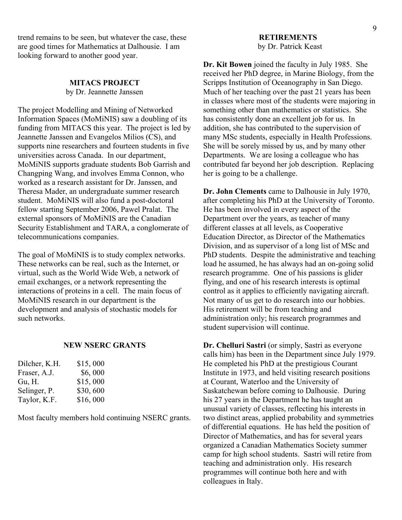trend remains to be seen, but whatever the case, these are good times for Mathematics at Dalhousie. I am looking forward to another good year.

## **MITACS PROJECT**

by Dr. Jeannette Janssen

The project Modelling and Mining of Networked Information Spaces (MoMiNIS) saw a doubling of its funding from MITACS this year. The project is led by Jeannette Janssen and Evangelos Milios (CS), and supports nine researchers and fourteen students in five universities across Canada. In our department, MoMiNIS supports graduate students Bob Garrish and Changping Wang, and involves Emma Connon, who worked as a research assistant for Dr. Janssen, and Theresa Mader, an undergraduate summer research student. MoMiNIS will also fund a post-doctoral fellow starting September 2006, Pawel Pralat. The external sponsors of MoMiNIS are the Canadian Security Establishment and TARA, a conglomerate of telecommunications companies.

The goal of MoMiNIS is to study complex networks. These networks can be real, such as the Internet, or virtual, such as the World Wide Web, a network of email exchanges, or a network representing the interactions of proteins in a cell. The main focus of MoMiNIS research in our department is the development and analysis of stochastic models for such networks.

#### **NEW NSERC GRANTS**

| Dilcher, K.H. | \$15,000 |
|---------------|----------|
| Fraser, A.J.  | \$6,000  |
| Gu, H.        | \$15,000 |
| Selinger, P.  | \$30,600 |
| Taylor, K.F.  | \$16,000 |

Most faculty members hold continuing NSERC grants.

#### **RETIREMENTS**  by Dr. Patrick Keast

**Dr. Kit Bowen** joined the faculty in July 1985. She received her PhD degree, in Marine Biology, from the Scripps Institution of Oceanography in San Diego. Much of her teaching over the past 21 years has been in classes where most of the students were majoring in something other than mathematics or statistics. She has consistently done an excellent job for us. In addition, she has contributed to the supervision of many MSc students, especially in Health Professions. She will be sorely missed by us, and by many other Departments. We are losing a colleague who has contributed far beyond her job description. Replacing her is going to be a challenge.

**Dr. John Clements** came to Dalhousie in July 1970, after completing his PhD at the University of Toronto. He has been involved in every aspect of the Department over the years, as teacher of many different classes at all levels, as Cooperative Education Director, as Director of the Mathematics Division, and as supervisor of a long list of MSc and PhD students. Despite the administrative and teaching load he assumed, he has always had an on-going solid research programme. One of his passions is glider flying, and one of his research interests is optimal control as it applies to efficiently navigating aircraft. Not many of us get to do research into our hobbies. His retirement will be from teaching and administration only; his research programmes and student supervision will continue.

**Dr. Chelluri Sastri** (or simply, Sastri as everyone calls him) has been in the Department since July 1979. He completed his PhD at the prestigious Courant Institute in 1973, and held visiting research positions at Courant, Waterloo and the University of Saskatchewan before coming to Dalhousie. During his 27 years in the Department he has taught an unusual variety of classes, reflecting his interests in two distinct areas, applied probability and symmetries of differential equations. He has held the position of Director of Mathematics, and has for several years organized a Canadian Mathematics Society summer camp for high school students. Sastri will retire from teaching and administration only. His research programmes will continue both here and with colleagues in Italy.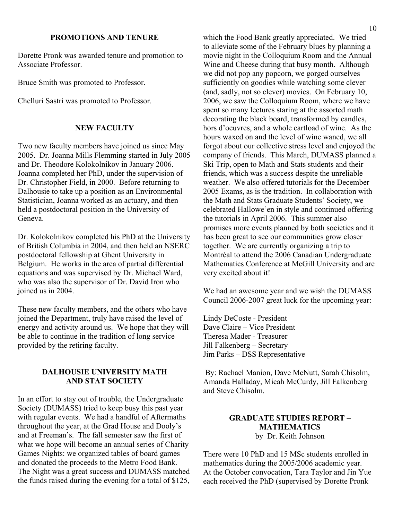#### **PROMOTIONS AND TENURE**

Dorette Pronk was awarded tenure and promotion to Associate Professor.

Bruce Smith was promoted to Professor.

Chelluri Sastri was promoted to Professor.

#### **NEW FACULTY**

Two new faculty members have joined us since May 2005. Dr. Joanna Mills Flemming started in July 2005 and Dr. Theodore Kolokolnikov in January 2006. Joanna completed her PhD, under the supervision of Dr. Christopher Field, in 2000. Before returning to Dalhousie to take up a position as an Environmental Statistician, Joanna worked as an actuary, and then held a postdoctoral position in the University of Geneva.

Dr. Kolokolnikov completed his PhD at the University of British Columbia in 2004, and then held an NSERC postdoctoral fellowship at Ghent University in Belgium. He works in the area of partial differential equations and was supervised by Dr. Michael Ward, who was also the supervisor of Dr. David Iron who joined us in 2004.

These new faculty members, and the others who have joined the Department, truly have raised the level of energy and activity around us. We hope that they will be able to continue in the tradition of long service provided by the retiring faculty.

#### **DALHOUSIE UNIVERSITY MATH AND STAT SOCIETY**

In an effort to stay out of trouble, the Undergraduate Society (DUMASS) tried to keep busy this past year with regular events. We had a handful of Aftermaths throughout the year, at the Grad House and Dooly's and at Freeman's. The fall semester saw the first of what we hope will become an annual series of Charity Games Nights: we organized tables of board games and donated the proceeds to the Metro Food Bank. The Night was a great success and DUMASS matched the funds raised during the evening for a total of \$125,

which the Food Bank greatly appreciated. We tried to alleviate some of the February blues by planning a movie night in the Colloquium Room and the Annual Wine and Cheese during that busy month. Although we did not pop any popcorn, we gorged ourselves sufficiently on goodies while watching some clever (and, sadly, not so clever) movies. On February 10, 2006, we saw the Colloquium Room, where we have spent so many lectures staring at the assorted math decorating the black board, transformed by candles, hors d'oeuvres, and a whole cartload of wine. As the hours waxed on and the level of wine waned, we all forgot about our collective stress level and enjoyed the company of friends. This March, DUMASS planned a Ski Trip, open to Math and Stats students and their friends, which was a success despite the unreliable weather. We also offered tutorials for the December 2005 Exams, as is the tradition. In collaboration with the Math and Stats Graduate Students' Society, we celebrated Hallowe'en in style and continued offering the tutorials in April 2006. This summer also promises more events planned by both societies and it has been great to see our communities grow closer together. We are currently organizing a trip to Montréal to attend the 2006 Canadian Undergraduate Mathematics Conference at McGill University and are very excited about it!

We had an awesome year and we wish the DUMASS Council 2006-2007 great luck for the upcoming year:

Lindy DeCoste - President Dave Claire – Vice President Theresa Mader - Treasurer Jill Falkenberg – Secretary Jim Parks – DSS Representative

 By: Rachael Manion, Dave McNutt, Sarah Chisolm, Amanda Halladay, Micah McCurdy, Jill Falkenberg and Steve Chisolm.

#### **GRADUATE STUDIES REPORT – MATHEMATICS**  by Dr. Keith Johnson

There were 10 PhD and 15 MSc students enrolled in mathematics during the 2005/2006 academic year. At the October convocation, Tara Taylor and Jin Yue each received the PhD (supervised by Dorette Pronk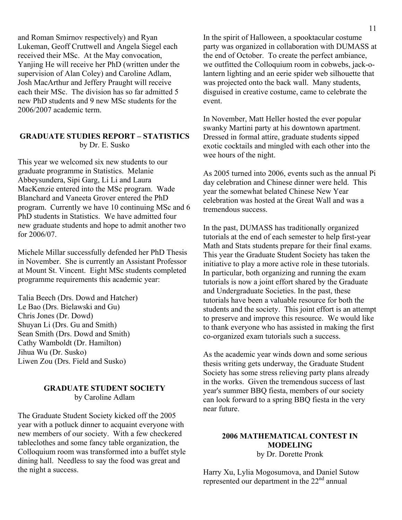and Roman Smirnov respectively) and Ryan Lukeman, Geoff Cruttwell and Angela Siegel each received their MSc. At the May convocation, Yanjing He will receive her PhD (written under the supervision of Alan Coley) and Caroline Adlam, Josh MacArthur and Jeffery Praught will receive each their MSc. The division has so far admitted 5 new PhD students and 9 new MSc students for the 2006/2007 academic term.

#### **GRADUATE STUDIES REPORT – STATISTICS**  by Dr. E. Susko

This year we welcomed six new students to our graduate programme in Statistics. Melanie Abbeysundera, Sipi Garg, Li Li and Laura MacKenzie entered into the MSc program. Wade Blanchard and Vaneeta Grover entered the PhD program. Currently we have 10 continuing MSc and 6 PhD students in Statistics. We have admitted four new graduate students and hope to admit another two for 2006/07.

Michele Millar successfully defended her PhD Thesis in November. She is currently an Assistant Professor at Mount St. Vincent. Eight MSc students completed programme requirements this academic year:

Talia Beech (Drs. Dowd and Hatcher) Le Bao (Drs. Bielawski and Gu) Chris Jones (Dr. Dowd) Shuyan Li (Drs. Gu and Smith) Sean Smith (Drs. Dowd and Smith) Cathy Wamboldt (Dr. Hamilton) Jihua Wu (Dr. Susko) Liwen Zou (Drs. Field and Susko)

#### **GRADUATE STUDENT SOCIETY**  by Caroline Adlam

The Graduate Student Society kicked off the 2005 year with a potluck dinner to acquaint everyone with new members of our society. With a few checkered tableclothes and some fancy table organization, the Colloquium room was transformed into a buffet style dining hall. Needless to say the food was great and the night a success.

In the spirit of Halloween, a spooktacular costume party was organized in collaboration with DUMASS at the end of October. To create the perfect ambiance, we outfitted the Colloquium room in cobwebs, jack-olantern lighting and an eerie spider web silhouette that was projected onto the back wall. Many students, disguised in creative costume, came to celebrate the event.

In November, Matt Heller hosted the ever popular swanky Martini party at his downtown apartment. Dressed in formal attire, graduate students sipped exotic cocktails and mingled with each other into the wee hours of the night.

As 2005 turned into 2006, events such as the annual Pi day celebration and Chinese dinner were held. This year the somewhat belated Chinese New Year celebration was hosted at the Great Wall and was a tremendous success.

In the past, DUMASS has traditionally organized tutorials at the end of each semester to help first-year Math and Stats students prepare for their final exams. This year the Graduate Student Society has taken the initiative to play a more active role in these tutorials. In particular, both organizing and running the exam tutorials is now a joint effort shared by the Graduate and Undergraduate Societies. In the past, these tutorials have been a valuable resource for both the students and the society. This joint effort is an attempt to preserve and improve this resource. We would like to thank everyone who has assisted in making the first co-organized exam tutorials such a success.

As the academic year winds down and some serious thesis writing gets underway, the Graduate Student Society has some stress relieving party plans already in the works. Given the tremendous success of last year's summer BBQ fiesta, members of our society can look forward to a spring BBQ fiesta in the very near future.

#### **2006 MATHEMATICAL CONTEST IN MODELING**

by Dr. Dorette Pronk

Harry Xu, Lylia Mogosumova, and Daniel Sutow represented our department in the 22nd annual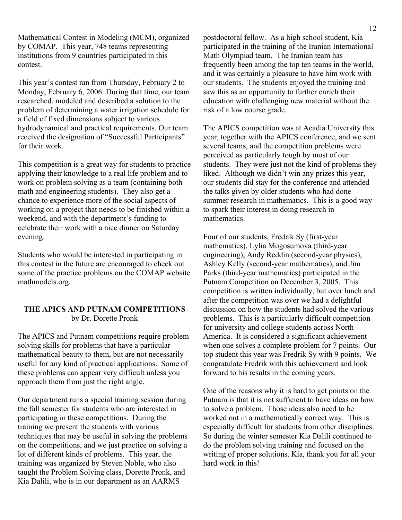Mathematical Contest in Modeling (MCM), organized by COMAP. This year, 748 teams representing institutions from 9 countries participated in this contest.

This year's contest ran from Thursday, February 2 to Monday, February 6, 2006. During that time, our team researched, modeled and described a solution to the problem of determining a water irrigation schedule for a field of fixed dimensions subject to various hydrodynamical and practical requirements. Our team received the designation of "Successful Participants" for their work.

This competition is a great way for students to practice applying their knowledge to a real life problem and to work on problem solving as a team (containing both math and engineering students). They also get a chance to experience more of the social aspects of working on a project that needs to be finished within a weekend, and with the department's funding to celebrate their work with a nice dinner on Saturday evening.

Students who would be interested in participating in this contest in the future are encouraged to check out some of the practice problems on the COMAP website mathmodels.org.

#### **THE APICS AND PUTNAM COMPETITIONS**  by Dr. Dorette Pronk

The APICS and Putnam competitions require problem solving skills for problems that have a particular mathematical beauty to them, but are not necessarily useful for any kind of practical applications. Some of these problems can appear very difficult unless you approach them from just the right angle.

Our department runs a special training session during the fall semester for students who are interested in participating in these competitions. During the training we present the students with various techniques that may be useful in solving the problems on the competitions, and we just practice on solving a lot of different kinds of problems. This year, the training was organized by Steven Noble, who also taught the Problem Solving class, Dorette Pronk, and Kia Dalili, who is in our department as an AARMS

postdoctoral fellow. As a high school student, Kia participated in the training of the Iranian International Math Olympiad team. The Iranian team has frequently been among the top ten teams in the world, and it was certainly a pleasure to have him work with our students. The students enjoyed the training and saw this as an opportunity to further enrich their education with challenging new material without the risk of a low course grade.

The APICS competition was at Acadia University this year, together with the APICS conference, and we sent several teams, and the competition problems were perceived as particularly tough by most of our students. They were just not the kind of problems they liked. Although we didn't win any prizes this year, our students did stay for the conference and attended the talks given by older students who had done summer research in mathematics. This is a good way to spark their interest in doing research in mathematics.

Four of our students, Fredrik Sy (first-year mathematics), Lylia Mogosumova (third-year engineering), Andy Reddin (second-year physics), Ashley Kelly (second-year mathematics), and Jim Parks (third-year mathematics) participated in the Putnam Competition on December 3, 2005. This competition is written individually, but over lunch and after the competition was over we had a delightful discussion on how the students had solved the various problems. This is a particularly difficult competition for university and college students across North America. It is considered a significant achievement when one solves a complete problem for 7 points. Our top student this year was Fredrik Sy with 9 points. We congratulate Fredrik with this achievement and look forward to his results in the coming years.

One of the reasons why it is hard to get points on the Putnam is that it is not sufficient to have ideas on how to solve a problem. Those ideas also need to be worked out in a mathematically correct way. This is especially difficult for students from other disciplines. So during the winter semester Kia Dalili continued to do the problem solving training and focused on the writing of proper solutions. Kia, thank you for all your hard work in this!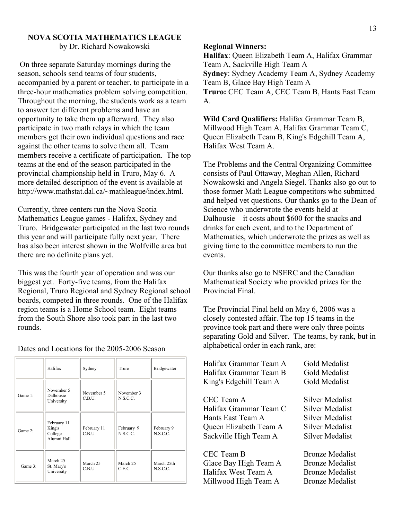#### **NOVA SCOTIA MATHEMATICS LEAGUE**

by Dr. Richard Nowakowski

 On three separate Saturday mornings during the season, schools send teams of four students, accompanied by a parent or teacher, to participate in a three-hour mathematics problem solving competition. Throughout the morning, the students work as a team to answer ten different problems and have an opportunity to take them up afterward. They also participate in two math relays in which the team members get their own individual questions and race against the other teams to solve them all. Team members receive a certificate of participation. The top teams at the end of the season participated in the provincial championship held in Truro, May 6. A more detailed description of the event is available at http://www.mathstat.dal.ca/~mathleague/index.html.

Currently, three centers run the Nova Scotia Mathematics League games - Halifax, Sydney and Truro. Bridgewater participated in the last two rounds this year and will participate fully next year. There has also been interest shown in the Wolfville area but there are no definite plans yet.

This was the fourth year of operation and was our biggest yet. Forty-five teams, from the Halifax Regional, Truro Regional and Sydney Regional school boards, competed in three rounds. One of the Halifax region teams is a Home School team. Eight teams from the South Shore also took part in the last two rounds.

|            | Halifax                                         | Sydney                | Truro                  | Bridgewater            |
|------------|-------------------------------------------------|-----------------------|------------------------|------------------------|
| Game 1:    | November 5<br>Dalhousie<br>University           | November 5<br>C.B.U.  | November 3<br>N.S.C.C. |                        |
| Game $2$ : | February 11<br>King's<br>College<br>Alumni Hall | February 11<br>C.B.U. | February 9<br>N.S.C.C. | February 9<br>N.S.C.C. |
| Game 3:    | March 25<br>St. Mary's<br>University            | March 25<br>C.B.U.    | March 25<br>C.E.C.     | March 25th<br>N.S.C.C. |

Dates and Locations for the 2005-2006 Season

#### **Regional Winners:**

**Halifax**: Queen Elizabeth Team A, Halifax Grammar Team A, Sackville High Team A **Sydney**: Sydney Academy Team A, Sydney Academy Team B, Glace Bay High Team A **Truro:** CEC Team A, CEC Team B, Hants East Team A.

**Wild Card Qualifiers:** Halifax Grammar Team B, Millwood High Team A, Halifax Grammar Team C, Queen Elizabeth Team B, King's Edgehill Team A, Halifax West Team A.

The Problems and the Central Organizing Committee consists of Paul Ottaway, Meghan Allen, Richard Nowakowski and Angela Siegel. Thanks also go out to those former Math League competitors who submitted and helped vet questions. Our thanks go to the Dean of Science who underwrote the events held at Dalhousie—it costs about \$600 for the snacks and drinks for each event, and to the Department of Mathematics, which underwrote the prizes as well as giving time to the committee members to run the events.

Our thanks also go to NSERC and the Canadian Mathematical Society who provided prizes for the Provincial Final.

The Provincial Final held on May 6, 2006 was a closely contested affair. The top 15 teams in the province took part and there were only three points separating Gold and Silver. The teams, by rank, but in alphabetical order in each rank, are:

| Halifax Grammar Team A | Gold Medalist          |
|------------------------|------------------------|
| Halifax Grammar Team B | Gold Medalist          |
| King's Edgehill Team A | Gold Medalist          |
| CEC Team A             | <b>Silver Medalist</b> |
| Halifax Grammar Team C | Silver Medalist        |
| Hants East Team A      | Silver Medalist        |
| Queen Elizabeth Team A | Silver Medalist        |
| Sackville High Team A  | Silver Medalist        |
| CEC Team B             | <b>Bronze Medalist</b> |
| Glace Bay High Team A  | <b>Bronze Medalist</b> |
| Halifax West Team A    | <b>Bronze Medalist</b> |
| Millwood High Team A   | <b>Bronze Medalist</b> |
|                        |                        |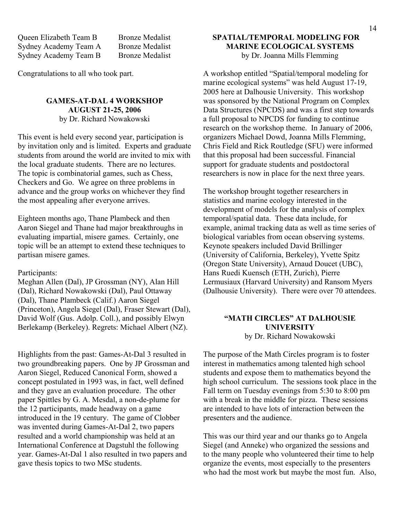Queen Elizabeth Team B Bronze Medalist Sydney Academy Team A Bronze Medalist Sydney Academy Team B Bronze Medalist

Congratulations to all who took part.

#### **GAMES-AT-DAL 4 WORKSHOP AUGUST 21-25, 2006**

by Dr. Richard Nowakowski

This event is held every second year, participation is by invitation only and is limited. Experts and graduate students from around the world are invited to mix with the local graduate students. There are no lectures. The topic is combinatorial games, such as Chess, Checkers and Go. We agree on three problems in advance and the group works on whichever they find the most appealing after everyone arrives.

Eighteen months ago, Thane Plambeck and then Aaron Siegel and Thane had major breakthroughs in evaluating impartial, misere games. Certainly, one topic will be an attempt to extend these techniques to partisan misere games.

Participants:

Meghan Allen (Dal), JP Grossman (NY), Alan Hill (Dal), Richard Nowakowski (Dal), Paul Ottaway (Dal), Thane Plambeck (Calif.) Aaron Siegel (Princeton), Angela Siegel (Dal), Fraser Stewart (Dal), David Wolf (Gus. Adolp. Coll.), and possibly Elwyn Berlekamp (Berkeley). Regrets: Michael Albert (NZ).

Highlights from the past: Games-At-Dal 3 resulted in two groundbreaking papers. One by JP Grossman and Aaron Siegel, Reduced Canonical Form, showed a concept postulated in 1993 was, in fact, well defined and they gave an evaluation procedure. The other paper Spittles by G. A. Mesdal, a non-de-plume for the 12 participants, made headway on a game introduced in the 19 century. The game of Clobber was invented during Games-At-Dal 2, two papers resulted and a world championship was held at an International Conference at Dagstuhl the following year. Games-At-Dal 1 also resulted in two papers and gave thesis topics to two MSc students.

#### **SPATIAL/TEMPORAL MODELING FOR MARINE ECOLOGICAL SYSTEMS**  by Dr. Joanna Mills Flemming

A workshop entitled "Spatial/temporal modeling for marine ecological systems" was held August 17-19, 2005 here at Dalhousie University. This workshop was sponsored by the National Program on Complex Data Structures (NPCDS) and was a first step towards a full proposal to NPCDS for funding to continue research on the workshop theme. In January of 2006, organizers Michael Dowd, Joanna Mills Flemming, Chris Field and Rick Routledge (SFU) were informed that this proposal had been successful. Financial support for graduate students and postdoctoral researchers is now in place for the next three years.

The workshop brought together researchers in statistics and marine ecology interested in the development of models for the analysis of complex temporal/spatial data. These data include, for example, animal tracking data as well as time series of biological variables from ocean observing systems. Keynote speakers included David Brillinger (University of California, Berkeley), Yvette Spitz (Oregon State University), Arnaud Doucet (UBC), Hans Ruedi Kuensch (ETH, Zurich), Pierre Lermusiaux (Harvard University) and Ransom Myers (Dalhousie University). There were over 70 attendees.

#### **"MATH CIRCLES" AT DALHOUSIE UNIVERSITY**

by Dr. Richard Nowakowski

The purpose of the Math Circles program is to foster interest in mathematics among talented high school students and expose them to mathematics beyond the high school curriculum. The sessions took place in the Fall term on Tuesday evenings from 5:30 to 8:00 pm with a break in the middle for pizza. These sessions are intended to have lots of interaction between the presenters and the audience.

This was our third year and our thanks go to Angela Siegel (and Anneke) who organized the sessions and to the many people who volunteered their time to help organize the events, most especially to the presenters who had the most work but maybe the most fun. Also,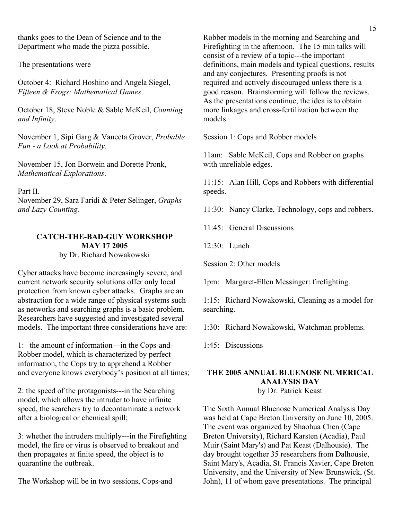thanks goes to the Dean of Science and to the Department who made the pizza possible.

The presentations were

October 4: Richard Hoshino and Angela Siegel, *Fifteen & Frogs: Mathematical Games*.

October 18, Steve Noble & Sable McKeil, *Counting and Infinity*.

November 1, Sipi Garg & Vaneeta Grover, *Probable Fun - a Look at Probability*.

November 15, Jon Borwein and Dorette Pronk, *Mathematical Explorations*.

Part II.

November 29, Sara Faridi & Peter Selinger, *Graphs and Lazy Counting*.

#### **CATCH-THE-BAD-GUY WORKSHOP MAY 17 2005** by Dr. Richard Nowakowski

Cyber attacks have become increasingly severe, and current network security solutions offer only local protection from known cyber attacks. Graphs are an abstraction for a wide range of physical systems such as networks and searching graphs is a basic problem. Researchers have suggested and investigated several models. The important three considerations have are:

1: the amount of information---in the Cops-and-Robber model, which is characterized by perfect information, the Cops try to apprehend a Robber and everyone knows everybody's position at all times;

2: the speed of the protagonists---in the Searching model, which allows the intruder to have infinite speed, the searchers try to decontaminate a network after a biological or chemical spill;

3: whether the intruders multiply---in the Firefighting model, the fire or virus is observed to breakout and then propagates at finite speed, the object is to quarantine the outbreak.

The Workshop will be in two sessions, Cops-and

Robber models in the morning and Searching and Firefighting in the afternoon. The 15 min talks will consist of a review of a topic---the important definitions, main models and typical questions, results and any conjectures. Presenting proofs is not required and actively discouraged unless there is a good reason. Brainstorming will follow the reviews. As the presentations continue, the idea is to obtain more linkages and cross-fertilization between the models.

Session 1: Cops and Robber models

11am: Sable McKeil, Cops and Robber on graphs with unreliable edges.

11:15: Alan Hill, Cops and Robbers with differential speeds.

11:30: Nancy Clarke, Technology, cops and robbers.

11:45: General Discussions

12:30: Lunch

Session 2: Other models

1pm: Margaret-Ellen Messinger: firefighting.

1:15: Richard Nowakowski, Cleaning as a model for searching.

1:30: Richard Nowakowski, Watchman problems.

1:45: Discussions

#### **THE 2005 ANNUAL BLUENOSE NUMERICAL ANALYSIS DAY**  by Dr. Patrick Keast

The Sixth Annual Bluenose Numerical Analysis Day was held at Cape Breton University on June 10, 2005. The event was organized by Shaohua Chen (Cape Breton University), Richard Karsten (Acadia), Paul Muir (Saint Mary's) and Pat Keast (Dalhousie). The day brought together 35 researchers from Dalhousie, Saint Mary's, Acadia, St. Francis Xavier, Cape Breton University, and the University of New Brunswick, (St. John), 11 of whom gave presentations. The principal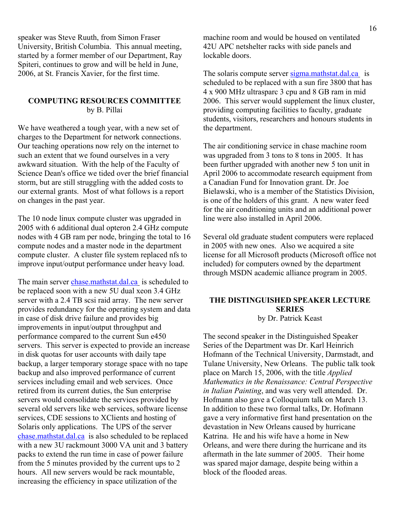speaker was Steve Ruuth, from Simon Fraser University, British Columbia. This annual meeting, started by a former member of our Department, Ray Spiteri, continues to grow and will be held in June, 2006, at St. Francis Xavier, for the first time.

#### **COMPUTING RESOURCES COMMITTEE**  by B. Pillai

We have weathered a tough year, with a new set of charges to the Department for network connections. Our teaching operations now rely on the internet to such an extent that we found ourselves in a very awkward situation. With the help of the Faculty of Science Dean's office we tided over the brief financial storm, but are still struggling with the added costs to our external grants. Most of what follows is a report on changes in the past year.

The 10 node linux compute cluster was upgraded in 2005 with 6 additional dual opteron 2.4 GHz compute nodes with 4 GB ram per node, bringing the total to 16 compute nodes and a master node in the department compute cluster. A cluster file system replaced nfs to improve input/output performance under heavy load.

The main server chase mathstat.dal.ca is scheduled to be replaced soon with a new 5U dual xeon 3.4 GHz server with a 2.4 TB scsi raid array. The new server provides redundancy for the operating system and data in case of disk drive failure and provides big improvements in input/output throughput and performance compared to the current Sun e450 servers. This server is expected to provide an increase in disk quotas for user accounts with daily tape backup, a larger temporary storage space with no tape backup and also improved performance of current services including email and web services. Once retired from its current duties, the Sun enterprise servers would consolidate the services provided by several old servers like web services, software license services, CDE sessions to XClients and hosting of Solaris only applications. The UPS of the server chase.mathstat.dal.ca is also scheduled to be replaced with a new 3U rackmount 3000 VA unit and 3 battery packs to extend the run time in case of power failure from the 5 minutes provided by the current ups to 2 hours. All new servers would be rack mountable, increasing the efficiency in space utilization of the

machine room and would be housed on ventilated 42U APC netshelter racks with side panels and lockable doors.

The solaris compute server sigma mathstat.dal.ca is scheduled to be replaced with a sun fire 3800 that has 4 x 900 MHz ultrasparc 3 cpu and 8 GB ram in mid 2006. This server would supplement the linux cluster, providing computing facilities to faculty, graduate students, visitors, researchers and honours students in the department.

The air conditioning service in chase machine room was upgraded from 3 tons to 8 tons in 2005. It has been further upgraded with another new 5 ton unit in April 2006 to accommodate research equipment from a Canadian Fund for Innovation grant. Dr. Joe Bielawski, who is a member of the Statistics Division, is one of the holders of this grant. A new water feed for the air conditioning units and an additional power line were also installed in April 2006.

Several old graduate student computers were replaced in 2005 with new ones. Also we acquired a site license for all Microsoft products (Microsoft office not included) for computers owned by the department through MSDN academic alliance program in 2005.

#### **THE DISTINGUISHED SPEAKER LECTURE SERIES**

by Dr. Patrick Keast

The second speaker in the Distinguished Speaker Series of the Department was Dr. Karl Heinrich Hofmann of the Technical University, Darmstadt, and Tulane University, New Orleans. The public talk took place on March 15, 2006, with the title *Applied Mathematics in the Renaissance: Central Perspective in Italian Painting*, and was very well attended. Dr. Hofmann also gave a Colloquium talk on March 13. In addition to these two formal talks, Dr. Hofmann gave a very informative first hand presentation on the devastation in New Orleans caused by hurricane Katrina. He and his wife have a home in New Orleans, and were there during the hurricane and its aftermath in the late summer of 2005. Their home was spared major damage, despite being within a block of the flooded areas.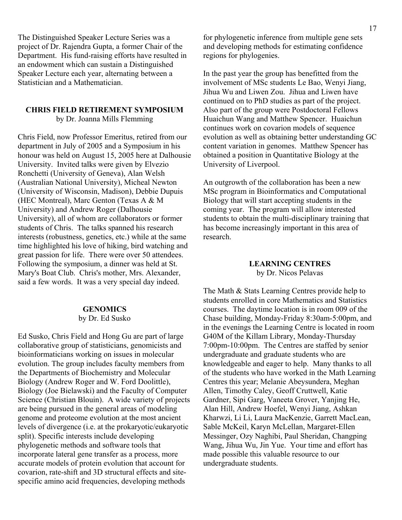The Distinguished Speaker Lecture Series was a project of Dr. Rajendra Gupta, a former Chair of the Department. His fund-raising efforts have resulted in an endowment which can sustain a Distinguished Speaker Lecture each year, alternating between a Statistician and a Mathematician.

#### **CHRIS FIELD RETIREMENT SYMPOSIUM**

by Dr. Joanna Mills Flemming

Chris Field, now Professor Emeritus, retired from our department in July of 2005 and a Symposium in his honour was held on August 15, 2005 here at Dalhousie University. Invited talks were given by Elvezio Ronchetti (University of Geneva), Alan Welsh (Australian National University), Micheal Newton (University of Wisconsin, Madison), Debbie Dupuis (HEC Montreal), Marc Genton (Texas A & M University) and Andrew Roger (Dalhousie University), all of whom are collaborators or former students of Chris. The talks spanned his research interests (robustness, genetics, etc.) while at the same time highlighted his love of hiking, bird watching and great passion for life. There were over 50 attendees. Following the symposium, a dinner was held at St. Mary's Boat Club. Chris's mother, Mrs. Alexander, said a few words. It was a very special day indeed.

#### **GENOMICS**  by Dr. Ed Susko

Ed Susko, Chris Field and Hong Gu are part of large collaborative group of statisticians, genomicists and bioinformaticians working on issues in molecular evolution. The group includes faculty members from the Departments of Biochemistry and Molecular Biology (Andrew Roger and W. Ford Doolittle), Biology (Joe Bielawski) and the Faculty of Computer Science (Christian Blouin). A wide variety of projects are being pursued in the general areas of modeling genome and proteome evolution at the most ancient levels of divergence (i.e. at the prokaryotic/eukaryotic split). Specific interests include developing phylogenetic methods and software tools that incorporate lateral gene transfer as a process, more accurate models of protein evolution that account for covarion, rate-shift and 3D structural effects and sitespecific amino acid frequencies, developing methods

for phylogenetic inference from multiple gene sets and developing methods for estimating confidence regions for phylogenies.

In the past year the group has benefitted from the involvement of MSc students Le Bao, Wenyi Jiang, Jihua Wu and Liwen Zou. Jihua and Liwen have continued on to PhD studies as part of the project. Also part of the group were Postdoctoral Fellows Huaichun Wang and Matthew Spencer. Huaichun continues work on covarion models of sequence evolution as well as obtaining better understanding GC content variation in genomes. Matthew Spencer has obtained a position in Quantitative Biology at the University of Liverpool.

An outgrowth of the collaboration has been a new MSc program in Bioinformatics and Computational Biology that will start accepting students in the coming year. The program will allow interested students to obtain the multi-disciplinary training that has become increasingly important in this area of research.

#### **LEARNING CENTRES**  by Dr. Nicos Pelavas

The Math & Stats Learning Centres provide help to students enrolled in core Mathematics and Statistics courses. The daytime location is in room 009 of the Chase building, Monday-Friday 8:30am-5:00pm, and in the evenings the Learning Centre is located in room G40M of the Killam Library, Monday-Thursday 7:00pm-10:00pm. The Centres are staffed by senior undergraduate and graduate students who are knowledgeable and eager to help. Many thanks to all of the students who have worked in the Math Learning Centres this year; Melanie Abeysundera, Meghan Allen, Timothy Caley, Geoff Cruttwell, Katie Gardner, Sipi Garg, Vaneeta Grover, Yanjing He, Alan Hill, Andrew Hoefel, Wenyi Jiang, Ashkan Kharwzi, Li Li, Laura MacKenzie, Garrett MacLean, Sable McKeil, Karyn McLellan, Margaret-Ellen Messinger, Ozy Naghibi, Paul Sheridan, Changping Wang, Jihua Wu, Jin Yue. Your time and effort has made possible this valuable resource to our undergraduate students.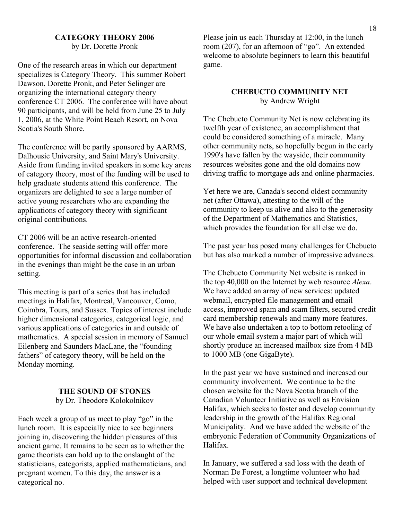#### **CATEGORY THEORY 2006**  by Dr. Dorette Pronk

One of the research areas in which our department specializes is Category Theory. This summer Robert Dawson, Dorette Pronk, and Peter Selinger are organizing the international category theory conference CT 2006. The conference will have about 90 participants, and will be held from June 25 to July 1, 2006, at the White Point Beach Resort, on Nova Scotia's South Shore.

The conference will be partly sponsored by AARMS, Dalhousie University, and Saint Mary's University. Aside from funding invited speakers in some key areas of category theory, most of the funding will be used to help graduate students attend this conference. The organizers are delighted to see a large number of active young researchers who are expanding the applications of category theory with significant original contributions.

CT 2006 will be an active research-oriented conference. The seaside setting will offer more opportunities for informal discussion and collaboration in the evenings than might be the case in an urban setting.

This meeting is part of a series that has included meetings in Halifax, Montreal, Vancouver, Como, Coimbra, Tours, and Sussex. Topics of interest include higher dimensional categories, categorical logic, and various applications of categories in and outside of mathematics. A special session in memory of Samuel Eilenberg and Saunders MacLane, the "founding fathers" of category theory, will be held on the Monday morning.

#### **THE SOUND OF STONES**

by Dr. Theodore Kolokolnikov

Each week a group of us meet to play "go" in the lunch room. It is especially nice to see beginners joining in, discovering the hidden pleasures of this ancient game. It remains to be seen as to whether the game theorists can hold up to the onslaught of the statisticians, categorists, applied mathematicians, and pregnant women. To this day, the answer is a categorical no.

Please join us each Thursday at 12:00, in the lunch room (207), for an afternoon of "go". An extended welcome to absolute beginners to learn this beautiful game.

#### **CHEBUCTO COMMUNITY NET**  by Andrew Wright

The Chebucto Community Net is now celebrating its twelfth year of existence, an accomplishment that could be considered something of a miracle. Many other community nets, so hopefully begun in the early 1990's have fallen by the wayside, their community resources websites gone and the old domains now driving traffic to mortgage ads and online pharmacies.

Yet here we are, Canada's second oldest community net (after Ottawa), attesting to the will of the community to keep us alive and also to the generosity of the Department of Mathematics and Statistics, which provides the foundation for all else we do.

The past year has posed many challenges for Chebucto but has also marked a number of impressive advances.

The Chebucto Community Net website is ranked in the top 40,000 on the Internet by web resource *Alexa*. We have added an array of new services: updated webmail, encrypted file management and email access, improved spam and scam filters, secured credit card membership renewals and many more features. We have also undertaken a top to bottom retooling of our whole email system a major part of which will shortly produce an increased mailbox size from 4 MB to 1000 MB (one GigaByte).

In the past year we have sustained and increased our community involvement. We continue to be the chosen website for the Nova Scotia branch of the Canadian Volunteer Initiative as well as Envision Halifax, which seeks to foster and develop community leadership in the growth of the Halifax Regional Municipality. And we have added the website of the embryonic Federation of Community Organizations of Halifax.

In January, we suffered a sad loss with the death of Norman De Forest, a longtime volunteer who had helped with user support and technical development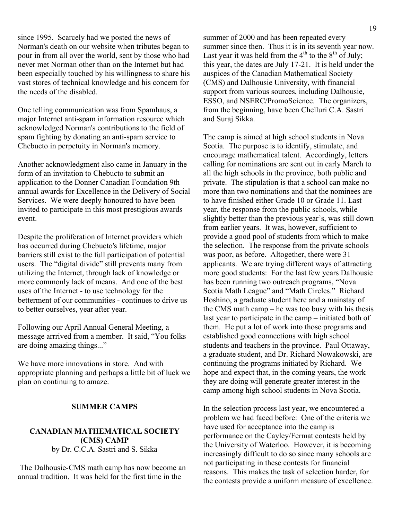since 1995. Scarcely had we posted the news of Norman's death on our website when tributes began to pour in from all over the world, sent by those who had never met Norman other than on the Internet but had been especially touched by his willingness to share his vast stores of technical knowledge and his concern for the needs of the disabled.

One telling communication was from Spamhaus, a major Internet anti-spam information resource which acknowledged Norman's contributions to the field of spam fighting by donating an anti-spam service to Chebucto in perpetuity in Norman's memory.

Another acknowledgment also came in January in the form of an invitation to Chebucto to submit an application to the Donner Canadian Foundation 9th annual awards for Excellence in the Delivery of Social Services. We were deeply honoured to have been invited to participate in this most prestigious awards event.

Despite the proliferation of Internet providers which has occurred during Chebucto's lifetime, major barriers still exist to the full participation of potential users. The "digital divide" still prevents many from utilizing the Internet, through lack of knowledge or more commonly lack of means. And one of the best uses of the Internet - to use technology for the betterment of our communities - continues to drive us to better ourselves, year after year.

Following our April Annual General Meeting, a message arrrived from a member. It said, "You folks are doing amazing things..."

We have more innovations in store. And with appropriate planning and perhaps a little bit of luck we plan on continuing to amaze.

#### **SUMMER CAMPS**

#### **CANADIAN MATHEMATICAL SOCIETY (CMS) CAMP**  by Dr. C.C.A. Sastri and S. Sikka

 The Dalhousie-CMS math camp has now become an annual tradition. It was held for the first time in the

summer of 2000 and has been repeated every summer since then. Thus it is in its seventh year now. Last year it was held from the  $4<sup>th</sup>$  to the  $8<sup>th</sup>$  of July; this year, the dates are July 17-21. It is held under the auspices of the Canadian Mathematical Society (CMS) and Dalhousie University, with financial support from various sources, including Dalhousie, ESSO, and NSERC/PromoScience. The organizers, from the beginning, have been Chelluri C.A. Sastri and Suraj Sikka.

The camp is aimed at high school students in Nova Scotia. The purpose is to identify, stimulate, and encourage mathematical talent. Accordingly, letters calling for nominations are sent out in early March to all the high schools in the province, both public and private. The stipulation is that a school can make no more than two nominations and that the nominees are to have finished either Grade 10 or Grade 11. Last year, the response from the public schools, while slightly better than the previous year's, was still down from earlier years. It was, however, sufficient to provide a good pool of students from which to make the selection. The response from the private schools was poor, as before. Altogether, there were 31 applicants. We are trying different ways of attracting more good students: For the last few years Dalhousie has been running two outreach programs, "Nova Scotia Math League" and "Math Circles." Richard Hoshino, a graduate student here and a mainstay of the CMS math camp – he was too busy with his thesis last year to participate in the camp – initiated both of them. He put a lot of work into those programs and established good connections with high school students and teachers in the province. Paul Ottaway, a graduate student, and Dr. Richard Nowakowski, are continuing the programs initiated by Richard. We hope and expect that, in the coming years, the work they are doing will generate greater interest in the camp among high school students in Nova Scotia.

In the selection process last year, we encountered a problem we had faced before: One of the criteria we have used for acceptance into the camp is performance on the Cayley/Fermat contests held by the University of Waterloo. However, it is becoming increasingly difficult to do so since many schools are not participating in these contests for financial reasons. This makes the task of selection harder, for the contests provide a uniform measure of excellence.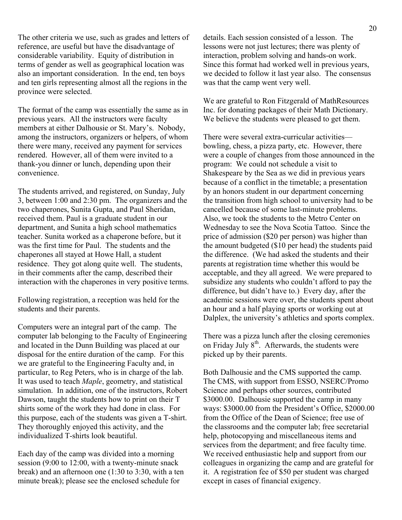The other criteria we use, such as grades and letters of reference, are useful but have the disadvantage of considerable variability. Equity of distribution in terms of gender as well as geographical location was also an important consideration. In the end, ten boys and ten girls representing almost all the regions in the province were selected.

The format of the camp was essentially the same as in previous years. All the instructors were faculty members at either Dalhousie or St. Mary's. Nobody, among the instructors, organizers or helpers, of whom there were many, received any payment for services rendered. However, all of them were invited to a thank-you dinner or lunch, depending upon their convenience.

The students arrived, and registered, on Sunday, July 3, between 1:00 and 2:30 pm. The organizers and the two chaperones, Sunita Gupta, and Paul Sheridan, received them. Paul is a graduate student in our department, and Sunita a high school mathematics teacher. Sunita worked as a chaperone before, but it was the first time for Paul. The students and the chaperones all stayed at Howe Hall, a student residence. They got along quite well. The students, in their comments after the camp, described their interaction with the chaperones in very positive terms.

Following registration, a reception was held for the students and their parents.

Computers were an integral part of the camp. The computer lab belonging to the Faculty of Engineering and located in the Dunn Building was placed at our disposal for the entire duration of the camp. For this we are grateful to the Engineering Faculty and, in particular, to Reg Peters, who is in charge of the lab. It was used to teach *Maple*, geometry, and statistical simulation. In addition, one of the instructors, Robert Dawson, taught the students how to print on their T shirts some of the work they had done in class. For this purpose, each of the students was given a T-shirt. They thoroughly enjoyed this activity, and the individualized T-shirts look beautiful.

Each day of the camp was divided into a morning session (9:00 to 12:00, with a twenty-minute snack break) and an afternoon one (1:30 to 3:30, with a ten minute break); please see the enclosed schedule for

details. Each session consisted of a lesson. The lessons were not just lectures; there was plenty of interaction, problem solving and hands-on work. Since this format had worked well in previous years, we decided to follow it last year also. The consensus was that the camp went very well.

We are grateful to Ron Fitzgerald of MathResources Inc. for donating packages of their Math Dictionary. We believe the students were pleased to get them.

There were several extra-curricular activities bowling, chess, a pizza party, etc. However, there were a couple of changes from those announced in the program: We could not schedule a visit to Shakespeare by the Sea as we did in previous years because of a conflict in the timetable; a presentation by an honors student in our department concerning the transition from high school to university had to be cancelled because of some last-minute problems. Also, we took the students to the Metro Center on Wednesday to see the Nova Scotia Tattoo. Since the price of admission (\$20 per person) was higher than the amount budgeted (\$10 per head) the students paid the difference. (We had asked the students and their parents at registration time whether this would be acceptable, and they all agreed. We were prepared to subsidize any students who couldn't afford to pay the difference, but didn't have to.) Every day, after the academic sessions were over, the students spent about an hour and a half playing sports or working out at Dalplex, the university's athletics and sports complex.

There was a pizza lunch after the closing ceremonies on Friday July  $8<sup>th</sup>$ . Afterwards, the students were picked up by their parents.

Both Dalhousie and the CMS supported the camp. The CMS, with support from ESSO, NSERC/Promo Science and perhaps other sources, contributed \$3000.00. Dalhousie supported the camp in many ways: \$3000.00 from the President's Office, \$2000.00 from the Office of the Dean of Science; free use of the classrooms and the computer lab; free secretarial help, photocopying and miscellaneous items and services from the department; and free faculty time. We received enthusiastic help and support from our colleagues in organizing the camp and are grateful for it. A registration fee of \$50 per student was charged except in cases of financial exigency.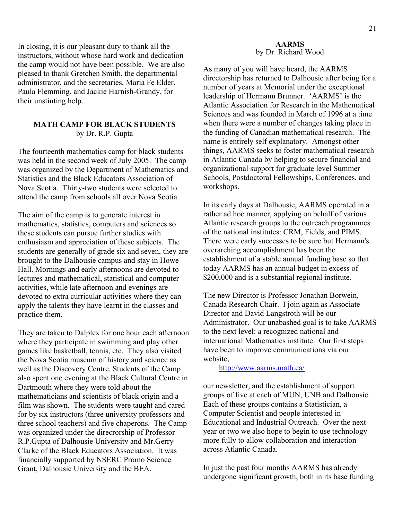In closing, it is our pleasant duty to thank all the instructors, without whose hard work and dedication the camp would not have been possible. We are also pleased to thank Gretchen Smith, the departmental administrator, and the secretaries, Maria Fe Elder, Paula Flemming, and Jackie Harnish-Grandy, for their unstinting help.

#### **MATH CAMP FOR BLACK STUDENTS**  by Dr. R.P. Gupta

The fourteenth mathematics camp for black students was held in the second week of July 2005. The camp was organized by the Department of Mathematics and Statistics and the Black Educators Association of Nova Scotia. Thirty-two students were selected to attend the camp from schools all over Nova Scotia.

The aim of the camp is to generate interest in mathematics, statistics, computers and sciences so these students can pursue further studies with enthusiasm and appreciation of these subjects. The students are generally of grade six and seven, they are brought to the Dalhousie campus and stay in Howe Hall. Mornings and early afternoons are devoted to lectures and mathematical, statistical and computer activities, while late afternoon and evenings are devoted to extra curricular activities where they can apply the talents they have learnt in the classes and practice them.

They are taken to Dalplex for one hour each afternoon where they participate in swimming and play other games like basketball, tennis, etc. They also visited the Nova Scotia museum of history and science as well as the Discovery Centre. Students of the Camp also spent one evening at the Black Cultural Centre in Dartmouth where they were told about the mathematicians and scientists of black origin and a film was shown. The students were taught and cared for by six instructors (three university professors and three school teachers) and five chaperons. The Camp was organized under the direcrorship of Professor R.P.Gupta of Dalhousie University and Mr.Gerry Clarke of the Black Educators Association. It was financially supported by NSERC Promo Science Grant, Dalhousie University and the BEA.

#### **AARMS**  by Dr. Richard Wood

As many of you will have heard, the AARMS directorship has returned to Dalhousie after being for a number of years at Memorial under the exceptional leadership of Hermann Brunner. 'AARMS' is the Atlantic Association for Research in the Mathematical Sciences and was founded in March of 1996 at a time when there were a number of changes taking place in the funding of Canadian mathematical research. The name is entirely self explanatory. Amongst other things, AARMS seeks to foster mathematical research in Atlantic Canada by helping to secure financial and organizational support for graduate level Summer Schools, Postdoctoral Fellowships, Conferences, and workshops.

In its early days at Dalhousie, AARMS operated in a rather ad hoc manner, applying on behalf of various Atlantic research groups to the outreach programmes of the national institutes: CRM, Fields, and PIMS. There were early successes to be sure but Hermann's overarching accomplishment has been the establishment of a stable annual funding base so that today AARMS has an annual budget in excess of \$200,000 and is a substantial regional institute.

The new Director is Professor Jonathan Borwein, Canada Research Chair. I join again as Associate Director and David Langstroth will be our Administrator. Our unabashed goal is to take AARMS to the next level: a recognized national and international Mathematics institute. Our first steps have been to improve communications via our website,

#### http://www.aarms.math.ca/

our newsletter, and the establishment of support groups of five at each of MUN, UNB and Dalhousie. Each of these groups contains a Statistician, a Computer Scientist and people interested in Educational and Industrial Outreach. Over the next year or two we also hope to begin to use technology more fully to allow collaboration and interaction across Atlantic Canada.

In just the past four months AARMS has already undergone significant growth, both in its base funding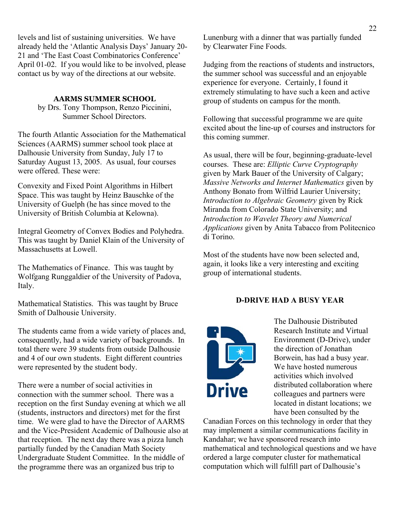levels and list of sustaining universities. We have already held the 'Atlantic Analysis Days' January 20- 21 and 'The East Coast Combinatorics Conference' April 01-02. If you would like to be involved, please contact us by way of the directions at our website.

#### **AARMS SUMMER SCHOOL**

by Drs. Tony Thompson, Renzo Piccinini, Summer School Directors.

The fourth Atlantic Association for the Mathematical Sciences (AARMS) summer school took place at Dalhousie University from Sunday, July 17 to Saturday August 13, 2005. As usual, four courses were offered. These were:

Convexity and Fixed Point Algorithms in Hilbert Space. This was taught by Heinz Bauschke of the University of Guelph (he has since moved to the University of British Columbia at Kelowna).

Integral Geometry of Convex Bodies and Polyhedra. This was taught by Daniel Klain of the University of Massachusetts at Lowell.

The Mathematics of Finance. This was taught by Wolfgang Runggaldier of the University of Padova, Italy.

Mathematical Statistics. This was taught by Bruce Smith of Dalhousie University.

The students came from a wide variety of places and, consequently, had a wide variety of backgrounds. In total there were 39 students from outside Dalhousie and 4 of our own students. Eight different countries were represented by the student body.

There were a number of social activities in connection with the summer school. There was a reception on the first Sunday evening at which we all (students, instructors and directors) met for the first time. We were glad to have the Director of AARMS and the Vice-President Academic of Dalhousie also at that reception. The next day there was a pizza lunch partially funded by the Canadian Math Society Undergraduate Student Committee. In the middle of the programme there was an organized bus trip to

Lunenburg with a dinner that was partially funded by Clearwater Fine Foods.

Judging from the reactions of students and instructors, the summer school was successful and an enjoyable experience for everyone. Certainly, I found it extremely stimulating to have such a keen and active group of students on campus for the month.

Following that successful programme we are quite excited about the line-up of courses and instructors for this coming summer.

As usual, there will be four, beginning-graduate-level courses. These are: *Elliptic Curve Cryptography* given by Mark Bauer of the University of Calgary; *Massive Networks and Internet Mathematics* given by Anthony Bonato from Wilfrid Laurier University; *Introduction to Algebraic Geometry* given by Rick Miranda from Colorado State University; and *Introduction to Wavelet Theory and Numerical Applications* given by Anita Tabacco from Politecnico di Torino.

Most of the students have now been selected and, again, it looks like a very interesting and exciting group of international students.

#### **D-DRIVE HAD A BUSY YEAR**



The Dalhousie Distributed Research Institute and Virtual Environment (D-Drive), under the direction of Jonathan Borwein, has had a busy year. We have hosted numerous activities which involved distributed collaboration where colleagues and partners were located in distant locations; we have been consulted by the

Canadian Forces on this technology in order that they may implement a similar communications facility in Kandahar; we have sponsored research into mathematical and technological questions and we have ordered a large computer cluster for mathematical computation which will fulfill part of Dalhousie's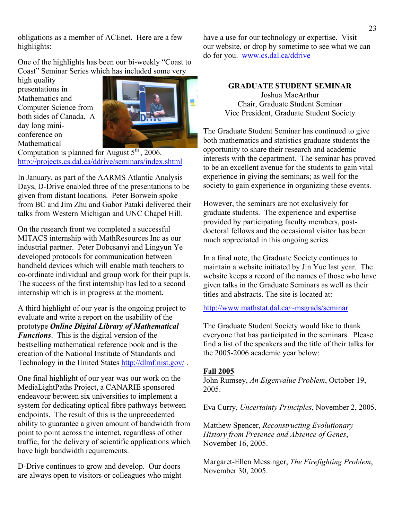obligations as a member of ACEnet. Here are a few highlights:

One of the highlights has been our bi-weekly "Coast to Coast" Seminar Series which has included some very

high quality presentations in Mathematics and Computer Science from both sides of Canada. A day long miniconference on Mathematical



Computation is planned for August  $5<sup>th</sup>$ , 2006. http://projects.cs.dal.ca/ddrive/seminars/index.shtml

In January, as part of the AARMS Atlantic Analysis Days, D-Drive enabled three of the presentations to be given from distant locations. Peter Borwein spoke from BC and Jim Zhu and Gabor Pataki delivered their talks from Western Michigan and UNC Chapel Hill.

On the research front we completed a successful MITACS internship with MathResources Inc as our industrial partner. Peter Dobcsanyi and Lingyun Ye developed protocols for communication between handheld devices which will enable math teachers to co-ordinate individual and group work for their pupils. The success of the first internship has led to a second internship which is in progress at the moment.

A third highlight of our year is the ongoing project to evaluate and write a report on the usability of the prototype *Online Digital Library of Mathematical Functions*. This is the digital version of the bestselling mathematical reference book and is the creation of the National Institute of Standards and Technology in the United States http://dlmf.nist.gov/ .

One final highlight of our year was our work on the MediaLightPaths Project, a CANARIE sponsored endeavour between six universities to implement a system for dedicating optical fibre pathways between endpoints. The result of this is the unprecedented ability to guarantee a given amount of bandwidth from point to point across the internet, regardless of other traffic, for the delivery of scientific applications which have high bandwidth requirements.

D-Drive continues to grow and develop. Our doors are always open to visitors or colleagues who might have a use for our technology or expertise. Visit our website, or drop by sometime to see what we can do for you. www.cs.dal.ca/ddrive

#### **GRADUATE STUDENT SEMINAR**  Joshua MacArthur Chair, Graduate Student Seminar Vice President, Graduate Student Society

The Graduate Student Seminar has continued to give both mathematics and statistics graduate students the opportunity to share their research and academic interests with the department. The seminar has proved to be an excellent avenue for the students to gain vital experience in giving the seminars; as well for the society to gain experience in organizing these events.

However, the seminars are not exclusively for graduate students. The experience and expertise provided by participating faculty members, postdoctoral fellows and the occasional visitor has been much appreciated in this ongoing series.

In a final note, the Graduate Society continues to maintain a website initiated by Jin Yue last year. The website keeps a record of the names of those who have given talks in the Graduate Seminars as well as their titles and abstracts. The site is located at:

http://www.mathstat.dal.ca/~msgrads/seminar

The Graduate Student Society would like to thank everyone that has participated in the seminars. Please find a list of the speakers and the title of their talks for the 2005-2006 academic year below:

#### **Fall 2005**

John Rumsey, *An Eigenvalue Problem*, October 19, 2005.

Eva Curry, *Uncertainty Principles*, November 2, 2005.

Matthew Spencer, *Reconstructing Evolutionary History from Presence and Absence of Genes*, November 16, 2005.

Margaret-Ellen Messinger, *The Firefighting Problem*, November 30, 2005.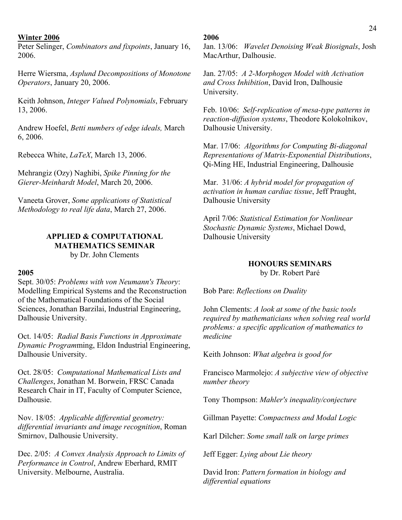#### **Winter 2006**

Peter Selinger, *Combinators and fixpoints*, January 16, 2006.

Herre Wiersma, *Asplund Decompositions of Monotone Operators*, January 20, 2006.

Keith Johnson, *Integer Valued Polynomials*, February 13, 2006.

Andrew Hoefel, *Betti numbers of edge ideals,* March 6, 2006.

Rebecca White, *LaTeX*, March 13, 2006.

Mehrangiz (Ozy) Naghibi, *Spike Pinning for the Gierer-Meinhardt Model*, March 20, 2006.

Vaneeta Grover, *Some applications of Statistical Methodology to real life data*, March 27, 2006.

### **APPLIED & COMPUTATIONAL MATHEMATICS SEMINAR**

by Dr. John Clements

#### **2005**

Sept. 30/05: *Problems with von Neumann's Theory*: Modelling Empirical Systems and the Reconstruction of the Mathematical Foundations of the Social Sciences, Jonathan Barzilai, Industrial Engineering, Dalhousie University.

Oct. 14/05: *Radial Basis Functions in Approximate Dynamic Program*ming, Eldon Industrial Engineering, Dalhousie University.

Oct. 28/05: *Computational Mathematical Lists and Challenges*, Jonathan M. Borwein, FRSC Canada Research Chair in IT, Faculty of Computer Science, Dalhousie.

Nov. 18/05: *Applicable differential geometry: differential invariants and image recognition*, Roman Smirnov, Dalhousie University.

Dec. 2/05: *A Convex Analysis Approach to Limits of Performance in Control*, Andrew Eberhard, RMIT University. Melbourne, Australia.

#### **2006**

Jan. 13/06: *Wavelet Denoising Weak Biosignals*, Josh MacArthur, Dalhousie.

Jan. 27/05: *A 2-Morphogen Model with Activation and Cross Inhibition*, David Iron, Dalhousie University.

Feb. 10/06: *Self-replication of mesa-type patterns in reaction-diffusion systems*, Theodore Kolokolnikov, Dalhousie University.

 Mar. 17/06: *Algorithms for Computing Bi-diagonal Representations of Matrix-Exponential Distributions*, Qi-Ming HE, Industrial Engineering, Dalhousie

Mar. 31/06: *A hybrid model for propagation of activation in human cardiac tissue*, Jeff Praught, Dalhousie University

April 7/06: *Statistical Estimation for Nonlinear Stochastic Dynamic Systems*, Michael Dowd, Dalhousie University

#### **HONOURS SEMINARS** by Dr. Robert Paré

Bob Pare: *Reflections on Duality*

John Clements: *A look at some of the basic tools required by mathematicians when solving real world problems: a specific application of mathematics to medicine*

Keith Johnson: *What algebra is good for*

Francisco Marmolejo: *A subjective view of objective number theory* 

Tony Thompson: *Mahler's inequality/conjecture*

Gillman Payette: *Compactness and Modal Logic*

Karl Dilcher: *Some small talk on large primes*

Jeff Egger: *Lying about Lie theory*

David Iron: *Pattern formation in biology and differential equations*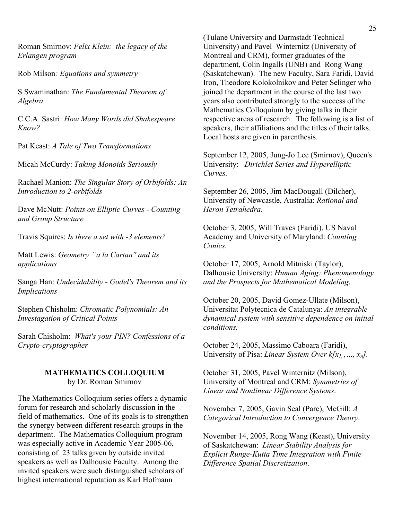Roman Smirnov: *Felix Klein: the legacy of the Erlangen program*

Rob Milson*: Equations and symmetry*

S Swaminathan: *The Fundamental Theorem of Algebra* 

C.C.A. Sastri: *How Many Words did Shakespeare Know?* 

Pat Keast: *A Tale of Two Transformations*

Micah McCurdy: *Taking Monoids Seriously*

Rachael Manion: *The Singular Story of Orbifolds: An Introduction to 2-orbifolds* 

Dave McNutt: *Points on Elliptic Curves - Counting and Group Structure*

Travis Squires: *Is there a set with -3 elements?*

Matt Lewis: *Geometry ``a la Cartan'' and its applications*

Sanga Han: *Undecidability - Godel's Theorem and its Implications*

Stephen Chisholm: *Chromatic Polynomials: An Investagation of Critical Points*

Sarah Chisholm: *What's your PIN? Confessions of a Crypto-cryptographer*

#### **MATHEMATICS COLLOQUIUM**  by Dr. Roman Smirnov

The Mathematics Colloquium series offers a dynamic forum for research and scholarly discussion in the field of mathematics. One of its goals is to strengthen the synergy between different research groups in the department. The Mathematics Colloquium program was especially active in Academic Year 2005-06, consisting of 23 talks given by outside invited speakers as well as Dalhousie Faculty. Among the invited speakers were such distinguished scholars of highest international reputation as Karl Hofmann

(Tulane University and Darmstadt Technical University) and Pavel Winternitz (University of Montreal and CRM), former graduates of the department, Colin Ingalls (UNB) and Rong Wang (Saskatchewan). The new Faculty, Sara Faridi, David Iron, Theodore Kolokolnikov and Peter Selinger who joined the department in the course of the last two years also contributed strongly to the success of the Mathematics Colloquium by giving talks in their respective areas of research. The following is a list of speakers, their affiliations and the titles of their talks. Local hosts are given in parenthesis.

September 12, 2005, Jung-Jo Lee (Smirnov), Queen's University: *Dirichlet Series and Hyperelliptic Curves.* 

September 26, 2005, Jim MacDougall (Dilcher), University of Newcastle, Australia: *Rational and Heron Tetrahedra.* 

October 3, 2005, Will Traves (Faridi), US Naval Academy and University of Maryland: *Counting Conics.* 

October 17, 2005, Arnold Mitniski (Taylor), Dalhousie University: *Human Aging: Phenomenology and the Prospects for Mathematical Modeling*.

October 20, 2005, David Gomez-Ullate (Milson), Universitat Polytecnica de Catalunya: *An integrable dynamical system with sensitive dependence on initial conditions.* 

October 24, 2005, Massimo Caboara (Faridi), University of Pisa: *Linear System Over k[x1, ,…, xn].*

October 31, 2005, Pavel Winternitz (Milson), University of Montreal and CRM: *Symmetries of Linear and Nonlinear Difference Systems*.

November 7, 2005, Gavin Seal (Pare), McGill: *A Categorical Introduction to Convergence Theory*.

November 14, 2005, Rong Wang (Keast), University of Saskatchewan: *Linear Stability Analysis for Explicit Runge-Kutta Time Integration with Finite Difference Spatial Discretization*.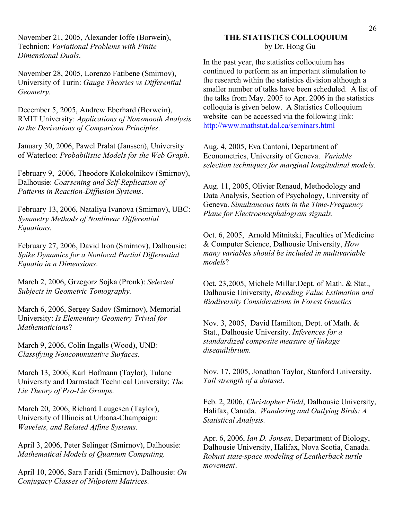November 21, 2005, Alexander Ioffe (Borwein), Technion: *Variational Problems with Finite Dimensional Duals*.

November 28, 2005, Lorenzo Fatibene (Smirnov), University of Turin: *Gauge Theories vs Differential Geometry.* 

December 5, 2005, Andrew Eberhard (Borwein), RMIT University: *Applications of Nonsmooth Analysis to the Derivations of Comparison Principles*.

January 30, 2006, Pawel Pralat (Janssen), University of Waterloo: *Probabilistic Models for the Web Graph*.

February 9, 2006, Theodore Kolokolnikov (Smirnov), Dalhousie: *Coarsening and Self-Replication of Patterns in Reaction-Diffusion Systems*.

February 13, 2006, Nataliya Ivanova (Smirnov), UBC: *Symmetry Methods of Nonlinear Differential Equations.*

February 27, 2006, David Iron (Smirnov), Dalhousie: *Spike Dynamics for a Nonlocal Partial Differential Equatio in n Dimensions*.

March 2, 2006, Grzegorz Sojka (Pronk): *Selected Subjects in Geometric Tomography.* 

March 6, 2006, Sergey Sadov (Smirnov), Memorial University: *Is Elementary Geometry Trivial for Mathematicians*?

March 9, 2006, Colin Ingalls (Wood), UNB: *Classifying Noncommutative Surfaces*.

March 13, 2006, Karl Hofmann (Taylor), Tulane University and Darmstadt Technical University: *The Lie Theory of Pro-Lie Groups.* 

March 20, 2006, Richard Laugesen (Taylor), University of Illinois at Urbana-Champaign: *Wavelets, and Related Affine Systems.* 

April 3, 2006, Peter Selinger (Smirnov), Dalhousie: *Mathematical Models of Quantum Computing.* 

April 10, 2006, Sara Faridi (Smirnov), Dalhousie: *On Conjugacy Classes of Nilpotent Matrices.* 

#### **THE STATISTICS COLLOQUIUM** by Dr. Hong Gu

In the past year, the statistics colloquium has continued to perform as an important stimulation to the research within the statistics division although a smaller number of talks have been scheduled. A list of the talks from May. 2005 to Apr. 2006 in the statistics colloquia is given below. A Statistics Colloquium website can be accessed via the following link: http://www.mathstat.dal.ca/seminars.html

Aug. 4, 2005, Eva Cantoni, Department of Econometrics, University of Geneva. *Variable selection techniques for marginal longitudinal models.*

Aug. 11, 2005, Olivier Renaud, Methodology and Data Analysis, Section of Psychology, University of Geneva. *Simultaneous tests in the Time-Frequency Plane for Electroencephalogram signals.* 

Oct. 6, 2005, Arnold Mitnitski, Faculties of Medicine & Computer Science, Dalhousie University, *How many variables should be included in multivariable models*?

Oct. 23,2005, Michele Millar,Dept. of Math. & Stat., Dalhousie University, *Breeding Value Estimation and Biodiversity Considerations in Forest Genetics* 

Nov. 3, 2005, David Hamilton, Dept. of Math. & Stat., Dalhousie University. *Inferences for a standardized composite measure of linkage disequilibrium.* 

Nov. 17, 2005, Jonathan Taylor, Stanford University. *Tail strength of a dataset*.

Feb. 2, 2006, *Christopher Field*, Dalhousie University, Halifax, Canada. *Wandering and Outlying Birds: A Statistical Analysis.*

Apr. 6, 2006, *Ian D. Jonsen*, Department of Biology, Dalhousie University, Halifax, Nova Scotia, Canada. *Robust state-space modeling of Leatherback turtle movement*.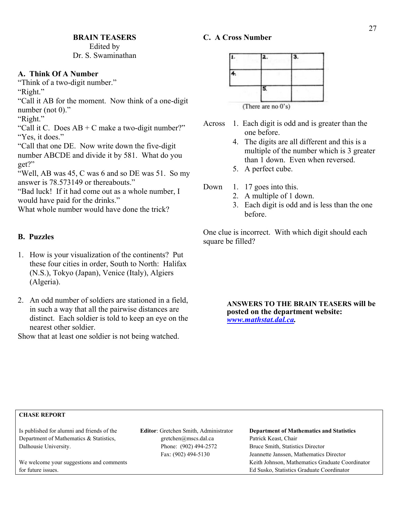#### Edited by Dr. S. Swaminathan

#### **A. Think Of A Number**

"Think of a two-digit number."

"Right."

"Call it AB for the moment. Now think of a one-digit number (not 0)."

"Right."

"Call it C. Does  $AB + C$  make a two-digit number?" "Yes, it does."

"Call that one DE. Now write down the five-digit

number ABCDE and divide it by 581. What do you get?"

"Well, AB was 45, C was 6 and so DE was 51. So my answer is 78.573149 or thereabouts."

"Bad luck! If it had come out as a whole number, I would have paid for the drinks."

What whole number would have done the trick?

#### **B. Puzzles**

- 1. How is your visualization of the continents? Put these four cities in order, South to North: Halifax (N.S.), Tokyo (Japan), Venice (Italy), Algiers (Algeria).
- 2. An odd number of soldiers are stationed in a field, in such a way that all the pairwise distances are distinct. Each soldier is told to keep an eye on the nearest other soldier.

Show that at least one soldier is not being watched.

## **C. A Cross Number**

| (There are no 0's) |  |
|--------------------|--|

- Across 1. Each digit is odd and is greater than the one before.
	- 4. The digits are all different and this is a multiple of the number which is 3 greater than 1 down. Even when reversed.
	- 5. A perfect cube.
- Down 1. 17 goes into this.
	- 2. A multiple of 1 down.
	- 3. Each digit is odd and is less than the one before.

One clue is incorrect. With which digit should each square be filled?

> **ANSWERS TO THE BRAIN TEASERS will be posted on the department website:**  *www.mathstat.dal.ca.*

#### **CHASE REPORT**

Department of Mathematics & Statistics, gretchen@mscs.dal.ca Patrick Keast, Chair Dalhousie University. Phone: (902) 494-2572 Bruce Smith, Statistics Director

for future issues. Ed Susko, Statistics Graduate Coordinator

Is published for alumni and friends of the **Editor**: Gretchen Smith, Administrator **Department of Mathematics and Statistics** Fax: (902) 494-5130 Jeannette Janssen, Mathematics Director We welcome your suggestions and comments Keith Johnson, Mathematics Graduate Coordinator